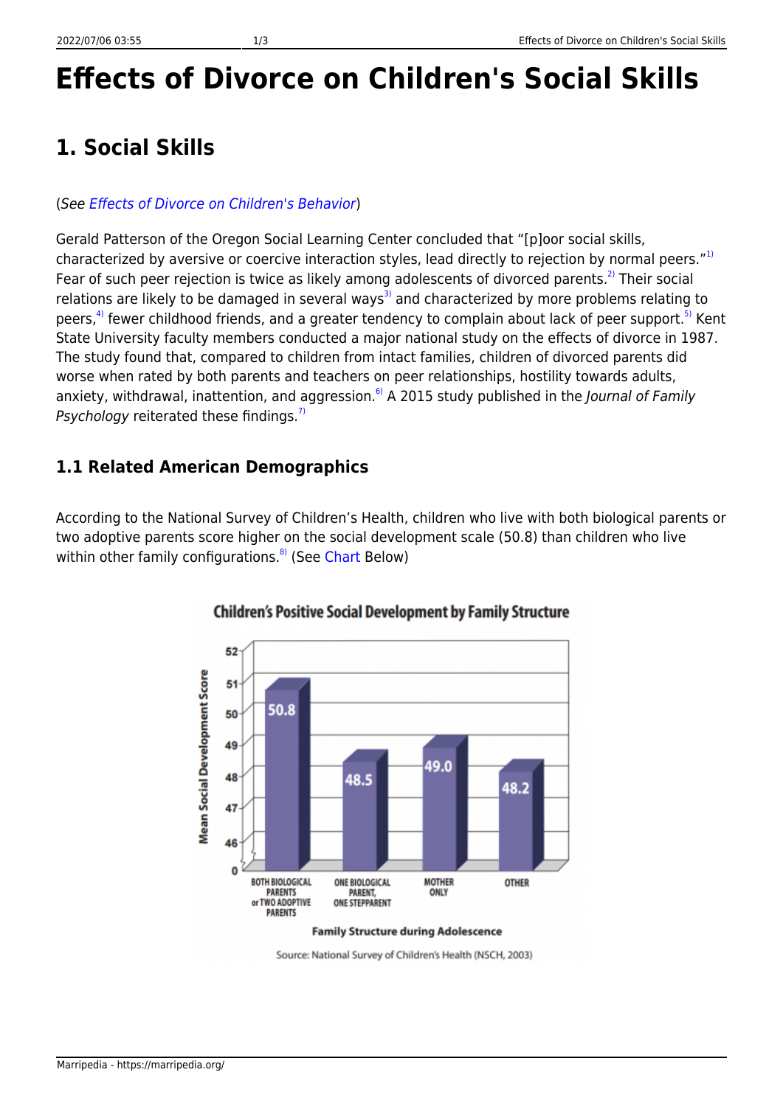# **Effects of Divorce on Children's Social Skills**

### **1. Social Skills**

### (See [Effects of Divorce on Children's Behavior](https://marripedia.org/effects.of.divorce.on.children.s.behavior))

Gerald Patterson of the Oregon Social Learning Center concluded that "[p]oor social skills, characterized by aversive or coercive interaction styles, lead directly to rejection by normal peers."<sup>[1\)](#page--1-0)</sup> Fear of such peer rejection is twice as likely among adolescents of divorced parents.<sup>[2\)](#page--1-0)</sup> Their social relations are likely to be damaged in several ways<sup>[3\)](#page--1-0)</sup> and characterized by more problems relating to peers,<sup>[4\)](#page--1-0)</sup> fewer childhood friends, and a greater tendency to complain about lack of peer support.<sup>[5\)](#page--1-0)</sup> Kent State University faculty members conducted a major national study on the effects of divorce in 1987. The study found that, compared to children from intact families, children of divorced parents did worse when rated by both parents and teachers on peer relationships, hostility towards adults, anxiety, withdrawal, inattention, and aggression.<sup>6</sup>) A 2015 study published in the *Journal of Family* Psychology reiterated these findings.<sup>[7\)](#page--1-0)</sup>

### **1.1 Related American Demographics**

According to the National Survey of Children's Health, children who live with both biological parents or two adoptive parents score higher on the social development scale (50.8) than children who live within other family configurations.<sup>[8\)](#page--1-0)</sup> (See [Chart](http://downloads.frc.org/EF/EF09G09.pdf) Below)



#### **Children's Positive Social Development by Family Structure**

Source: National Survey of Children's Health (NSCH, 2003)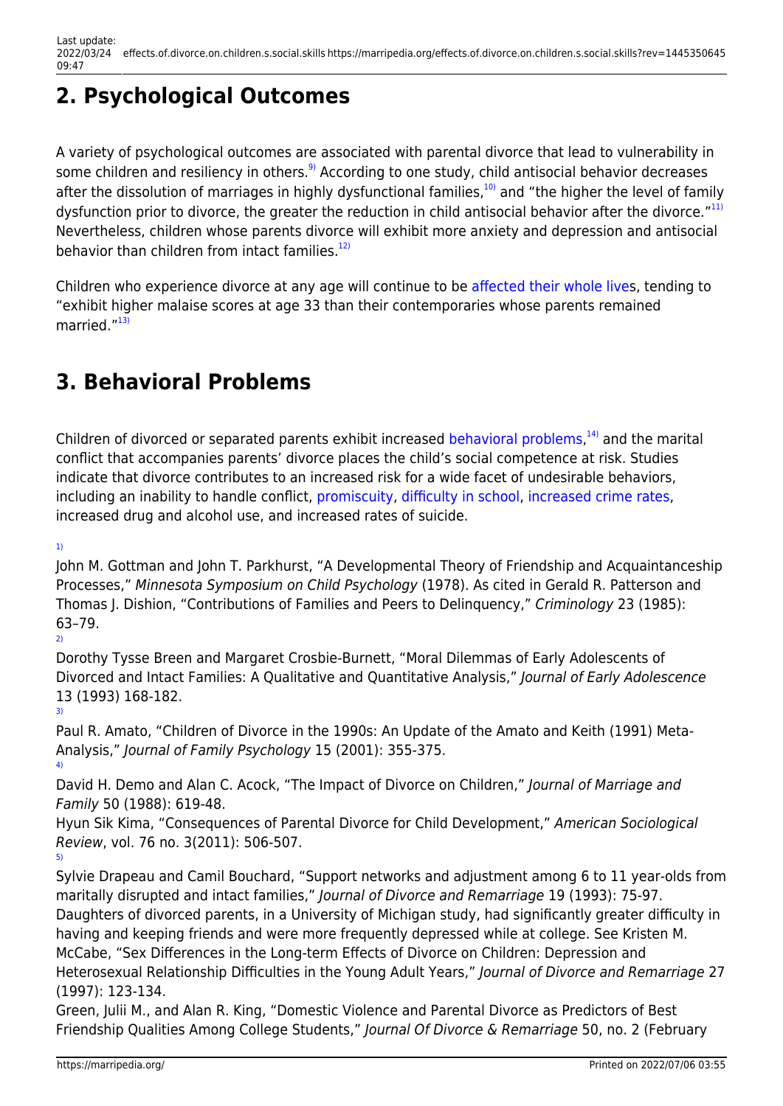# **2. Psychological Outcomes**

A variety of psychological outcomes are associated with parental divorce that lead to vulnerability in some children and resiliency in others.<sup>[9\)](#page--1-0)</sup> According to one study, child antisocial behavior decreases after the dissolution of marriages in highly dysfunctional families, $10$ ) and "the higher the level of family dysfunction prior to divorce, the greater the reduction in child antisocial behavior after the divorce."<sup>[11\)](#page--1-0)</sup> Nevertheless, children whose parents divorce will exhibit more anxiety and depression and antisocial behavior than children from intact families. $12$ 

Children who experience divorce at any age will continue to be [affected their whole lives](https://marripedia.org/long_term_effects_of_divorce), tending to "exhibit higher malaise scores at age 33 than their contemporaries whose parents remained married."[13\)](#page--1-0)

## **3. Behavioral Problems**

Children of divorced or separated parents exhibit increased [behavioral problems](https://marripedia.org/effects.of.divorce.on.children.s.behavior),<sup>[14\)](#page--1-0)</sup> and the marital conflict that accompanies parents' divorce places the child's social competence at risk. Studies indicate that divorce contributes to an increased risk for a wide facet of undesirable behaviors, including an inability to handle conflict, [promiscuity](https://marripedia.org/effects.of.divorce.on.children.s.sexual.activity), [difficulty in school](https://marripedia.org/effects_of_divorce_on_children_s_education), [increased crime rates](https://marripedia.org/effects_of_family_structure_on_crime), increased drug and alcohol use, and increased rates of suicide.

[1\)](#page--1-0)

John M. Gottman and John T. Parkhurst, "A Developmental Theory of Friendship and Acquaintanceship Processes," Minnesota Symposium on Child Psychology (1978). As cited in Gerald R. Patterson and Thomas J. Dishion, "Contributions of Families and Peers to Delinquency," Criminology 23 (1985): 63–79. [2\)](#page--1-0)

Dorothy Tysse Breen and Margaret Crosbie-Burnett, "Moral Dilemmas of Early Adolescents of Divorced and Intact Families: A Qualitative and Quantitative Analysis," Journal of Early Adolescence 13 (1993) 168-182. [3\)](#page--1-0)

Paul R. Amato, "Children of Divorce in the 1990s: An Update of the Amato and Keith (1991) Meta-Analysis," Journal of Family Psychology 15 (2001): 355-375. [4\)](#page--1-0)

David H. Demo and Alan C. Acock, "The Impact of Divorce on Children," Journal of Marriage and Family 50 (1988): 619-48.

Hyun Sik Kima, "Consequences of Parental Divorce for Child Development," American Sociological Review, vol. 76 no. 3(2011): 506-507. [5\)](#page--1-0)

Sylvie Drapeau and Camil Bouchard, "Support networks and adjustment among 6 to 11 year-olds from maritally disrupted and intact families," Journal of Divorce and Remarriage 19 (1993): 75-97. Daughters of divorced parents, in a University of Michigan study, had significantly greater difficulty in having and keeping friends and were more frequently depressed while at college. See Kristen M. McCabe, "Sex Differences in the Long-term Effects of Divorce on Children: Depression and Heterosexual Relationship Difficulties in the Young Adult Years," Journal of Divorce and Remarriage 27 (1997): 123-134.

Green, Julii M., and Alan R. King, "Domestic Violence and Parental Divorce as Predictors of Best Friendship Qualities Among College Students," Journal Of Divorce & Remarriage 50, no. 2 (February